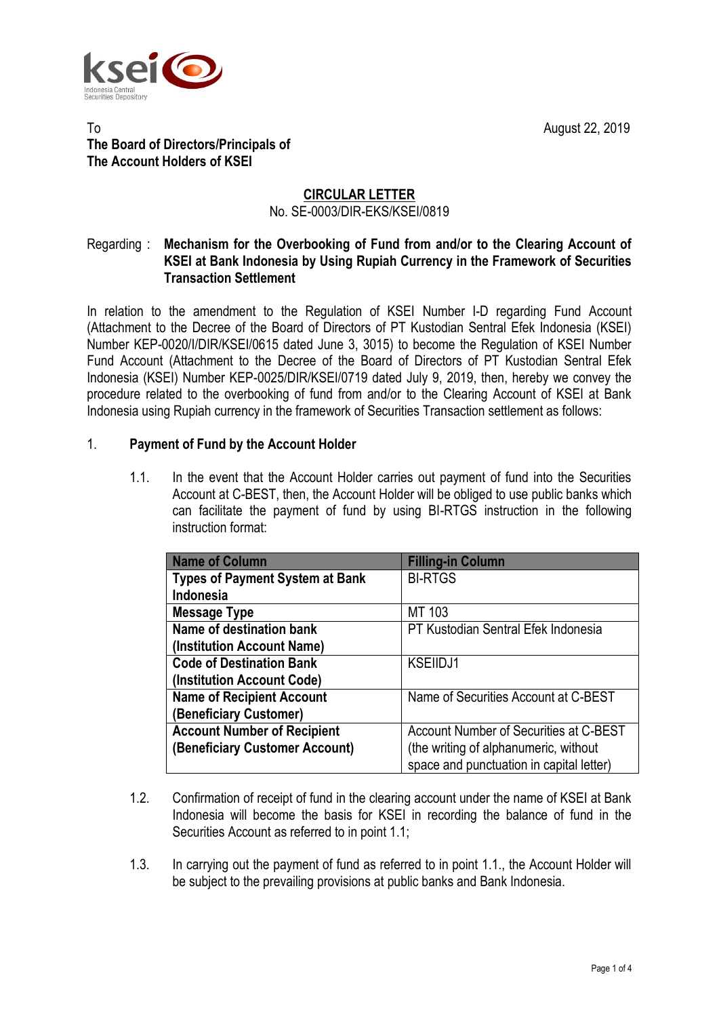

## To **August 22, 2019 The Board of Directors/Principals of The Account Holders of KSEI**

## **CIRCULAR LETTER** No. SE-0003/DIR-EKS/KSEI/0819

## Regarding : **Mechanism for the Overbooking of Fund from and/or to the Clearing Account of KSEI at Bank Indonesia by Using Rupiah Currency in the Framework of Securities Transaction Settlement**

In relation to the amendment to the Regulation of KSEI Number I-D regarding Fund Account (Attachment to the Decree of the Board of Directors of PT Kustodian Sentral Efek Indonesia (KSEI) Number KEP-0020/I/DIR/KSEI/0615 dated June 3, 3015) to become the Regulation of KSEI Number Fund Account (Attachment to the Decree of the Board of Directors of PT Kustodian Sentral Efek Indonesia (KSEI) Number KEP-0025/DIR/KSEI/0719 dated July 9, 2019, then, hereby we convey the procedure related to the overbooking of fund from and/or to the Clearing Account of KSEI at Bank Indonesia using Rupiah currency in the framework of Securities Transaction settlement as follows:

## 1. **Payment of Fund by the Account Holder**

1.1. In the event that the Account Holder carries out payment of fund into the Securities Account at C-BEST, then, the Account Holder will be obliged to use public banks which can facilitate the payment of fund by using BI-RTGS instruction in the following instruction format:

| <b>Name of Column</b>                  | <b>Filling-in Column</b>                 |
|----------------------------------------|------------------------------------------|
| <b>Types of Payment System at Bank</b> | <b>BI-RTGS</b>                           |
| Indonesia                              |                                          |
| Message Type                           | MT 103                                   |
| Name of destination bank               | PT Kustodian Sentral Efek Indonesia      |
| (Institution Account Name)             |                                          |
| <b>Code of Destination Bank</b>        | <b>KSEIIDJ1</b>                          |
| (Institution Account Code)             |                                          |
| <b>Name of Recipient Account</b>       | Name of Securities Account at C-BEST     |
| <b>Beneficiary Customer)</b>           |                                          |
| <b>Account Number of Recipient</b>     | Account Number of Securities at C-BEST   |
| (Beneficiary Customer Account)         | (the writing of alphanumeric, without    |
|                                        | space and punctuation in capital letter) |

- 1.2. Confirmation of receipt of fund in the clearing account under the name of KSEI at Bank Indonesia will become the basis for KSEI in recording the balance of fund in the Securities Account as referred to in point 1.1;
- 1.3. In carrying out the payment of fund as referred to in point 1.1., the Account Holder will be subject to the prevailing provisions at public banks and Bank Indonesia.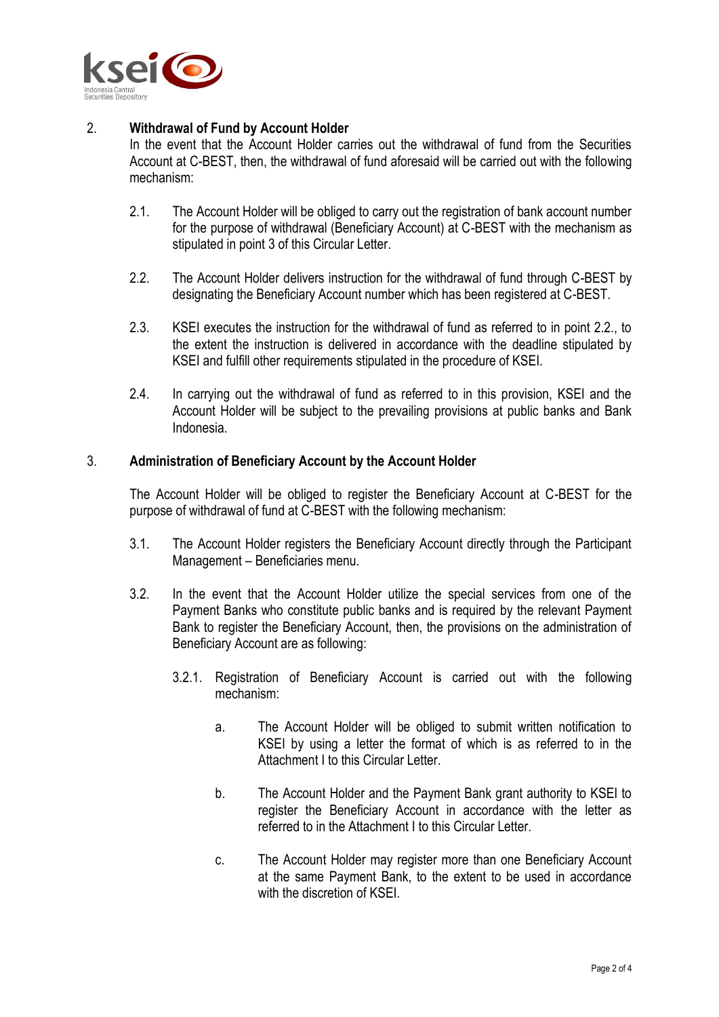

## 2. **Withdrawal of Fund by Account Holder**

In the event that the Account Holder carries out the withdrawal of fund from the Securities Account at C-BEST, then, the withdrawal of fund aforesaid will be carried out with the following mechanism:

- 2.1. The Account Holder will be obliged to carry out the registration of bank account number for the purpose of withdrawal (Beneficiary Account) at C-BEST with the mechanism as stipulated in point 3 of this Circular Letter.
- 2.2. The Account Holder delivers instruction for the withdrawal of fund through C-BEST by designating the Beneficiary Account number which has been registered at C-BEST.
- 2.3. KSEI executes the instruction for the withdrawal of fund as referred to in point 2.2., to the extent the instruction is delivered in accordance with the deadline stipulated by KSEI and fulfill other requirements stipulated in the procedure of KSEI.
- 2.4. In carrying out the withdrawal of fund as referred to in this provision, KSEI and the Account Holder will be subject to the prevailing provisions at public banks and Bank Indonesia.

#### 3. **Administration of Beneficiary Account by the Account Holder**

The Account Holder will be obliged to register the Beneficiary Account at C-BEST for the purpose of withdrawal of fund at C-BEST with the following mechanism:

- 3.1. The Account Holder registers the Beneficiary Account directly through the Participant Management – Beneficiaries menu.
- 3.2. In the event that the Account Holder utilize the special services from one of the Payment Banks who constitute public banks and is required by the relevant Payment Bank to register the Beneficiary Account, then, the provisions on the administration of Beneficiary Account are as following:
	- 3.2.1. Registration of Beneficiary Account is carried out with the following mechanism:
		- a. The Account Holder will be obliged to submit written notification to KSEI by using a letter the format of which is as referred to in the Attachment I to this Circular Letter.
		- b. The Account Holder and the Payment Bank grant authority to KSEI to register the Beneficiary Account in accordance with the letter as referred to in the Attachment I to this Circular Letter.
		- c. The Account Holder may register more than one Beneficiary Account at the same Payment Bank, to the extent to be used in accordance with the discretion of KSFI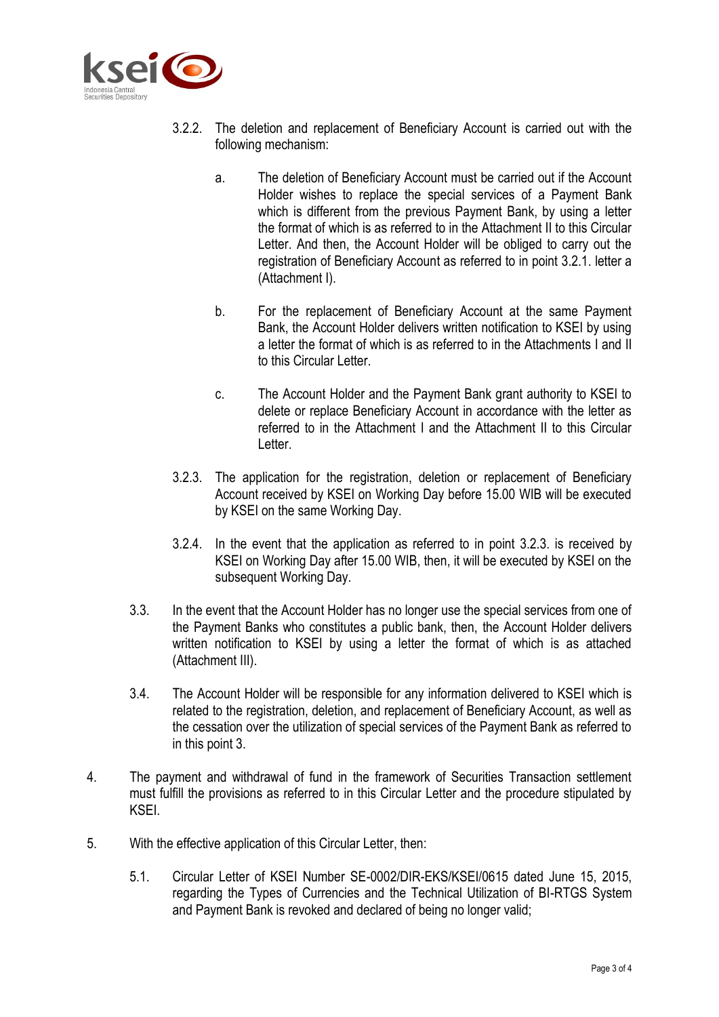

- 3.2.2. The deletion and replacement of Beneficiary Account is carried out with the following mechanism:
	- a. The deletion of Beneficiary Account must be carried out if the Account Holder wishes to replace the special services of a Payment Bank which is different from the previous Payment Bank, by using a letter the format of which is as referred to in the Attachment II to this Circular Letter. And then, the Account Holder will be obliged to carry out the registration of Beneficiary Account as referred to in point 3.2.1. letter a (Attachment I).
	- b. For the replacement of Beneficiary Account at the same Payment Bank, the Account Holder delivers written notification to KSEI by using a letter the format of which is as referred to in the Attachments I and II to this Circular Letter.
	- c. The Account Holder and the Payment Bank grant authority to KSEI to delete or replace Beneficiary Account in accordance with the letter as referred to in the Attachment I and the Attachment II to this Circular Letter.
- 3.2.3. The application for the registration, deletion or replacement of Beneficiary Account received by KSEI on Working Day before 15.00 WIB will be executed by KSEI on the same Working Day.
- 3.2.4. In the event that the application as referred to in point 3.2.3. is received by KSEI on Working Day after 15.00 WIB, then, it will be executed by KSEI on the subsequent Working Day.
- 3.3. In the event that the Account Holder has no longer use the special services from one of the Payment Banks who constitutes a public bank, then, the Account Holder delivers written notification to KSEI by using a letter the format of which is as attached (Attachment III).
- 3.4. The Account Holder will be responsible for any information delivered to KSEI which is related to the registration, deletion, and replacement of Beneficiary Account, as well as the cessation over the utilization of special services of the Payment Bank as referred to in this point 3.
- 4. The payment and withdrawal of fund in the framework of Securities Transaction settlement must fulfill the provisions as referred to in this Circular Letter and the procedure stipulated by KSEI.
- 5. With the effective application of this Circular Letter, then:
	- 5.1. Circular Letter of KSEI Number SE-0002/DIR-EKS/KSEI/0615 dated June 15, 2015, regarding the Types of Currencies and the Technical Utilization of BI-RTGS System and Payment Bank is revoked and declared of being no longer valid;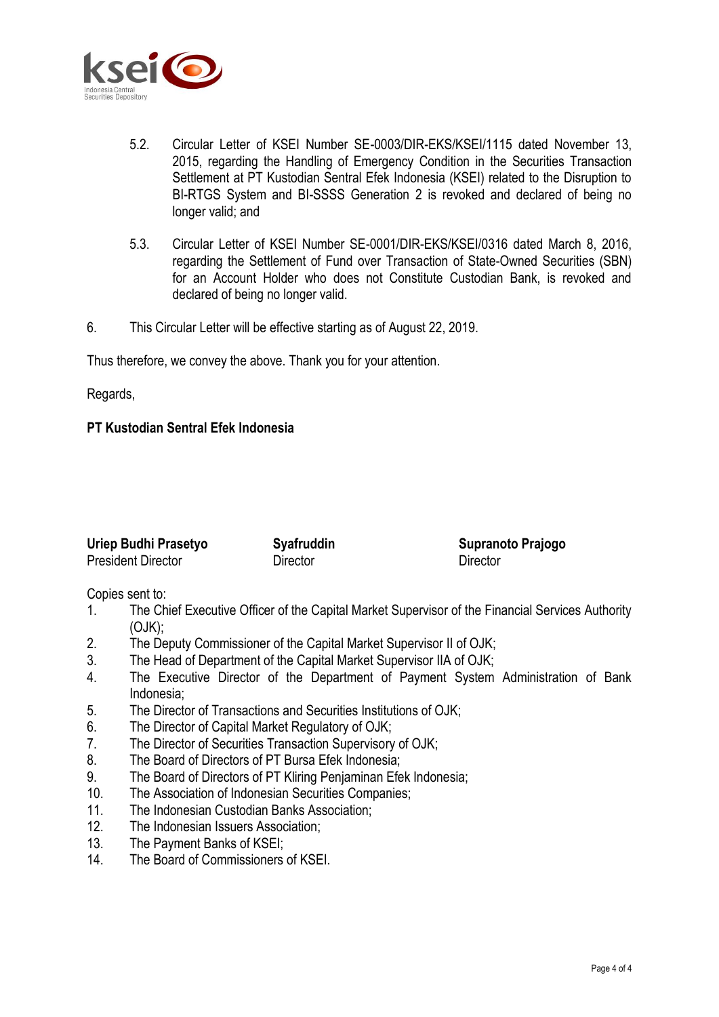

- 5.2. Circular Letter of KSEI Number SE-0003/DIR-EKS/KSEI/1115 dated November 13, 2015, regarding the Handling of Emergency Condition in the Securities Transaction Settlement at PT Kustodian Sentral Efek Indonesia (KSEI) related to the Disruption to BI-RTGS System and BI-SSSS Generation 2 is revoked and declared of being no longer valid; and
- 5.3. Circular Letter of KSEI Number SE-0001/DIR-EKS/KSEI/0316 dated March 8, 2016, regarding the Settlement of Fund over Transaction of State-Owned Securities (SBN) for an Account Holder who does not Constitute Custodian Bank, is revoked and declared of being no longer valid.
- 6. This Circular Letter will be effective starting as of August 22, 2019.

Thus therefore, we convey the above. Thank you for your attention.

Regards,

#### **PT Kustodian Sentral Efek Indonesia**

| Uriep Budhi Prasetyo      | <b>Syafruddin</b> |
|---------------------------|-------------------|
| <b>President Director</b> | Director          |

Copies sent to:

1. The Chief Executive Officer of the Capital Market Supervisor of the Financial Services Authority (OJK);

**Supranoto Prajogo**

**Director** 

- 2. The Deputy Commissioner of the Capital Market Supervisor II of OJK;
- 3. The Head of Department of the Capital Market Supervisor IIA of OJK;
- 4. The Executive Director of the Department of Payment System Administration of Bank Indonesia;
- 5. The Director of Transactions and Securities Institutions of OJK;
- 6. The Director of Capital Market Regulatory of OJK;
- 7. The Director of Securities Transaction Supervisory of OJK;
- 8. The Board of Directors of PT Bursa Efek Indonesia;
- 9. The Board of Directors of PT Kliring Penjaminan Efek Indonesia;
- 10. The Association of Indonesian Securities Companies;
- 11. The Indonesian Custodian Banks Association;
- 12. The Indonesian Issuers Association;
- 13. The Payment Banks of KSEI;
- 14. The Board of Commissioners of KSEI.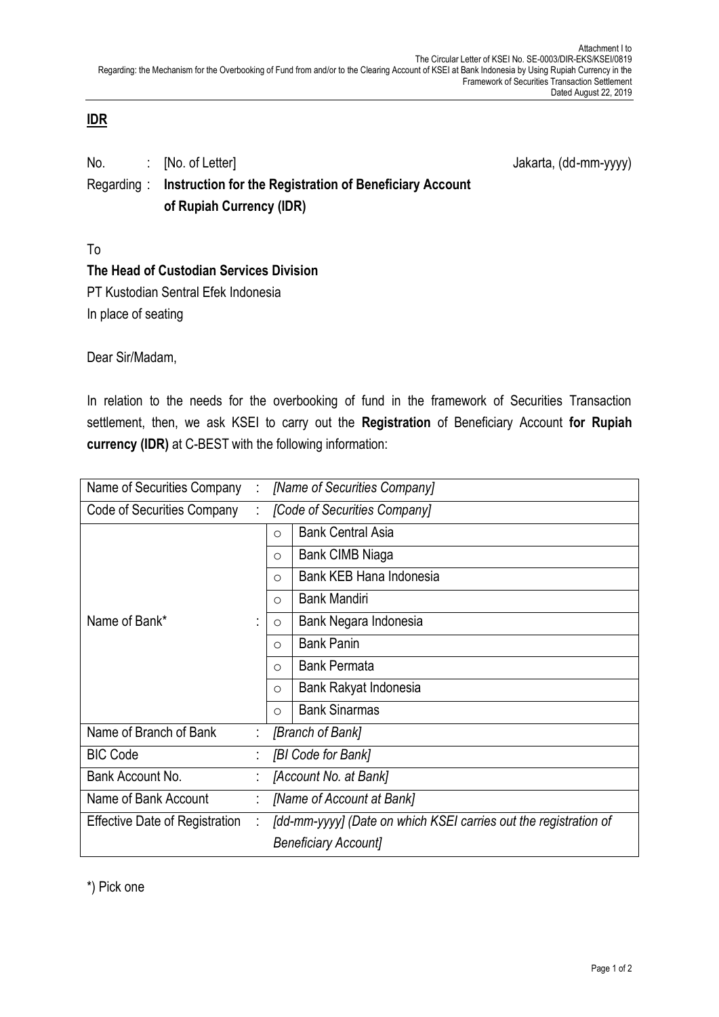## **IDR**

| No.        | $\therefore$ [No. of Letter]                            | Jakarta, (dd-mm-yyyy) |
|------------|---------------------------------------------------------|-----------------------|
| Regarding: | Instruction for the Registration of Beneficiary Account |                       |
|            | of Rupiah Currency (IDR)                                |                       |

To

## **The Head of Custodian Services Division**

PT Kustodian Sentral Efek Indonesia In place of seating

Dear Sir/Madam,

In relation to the needs for the overbooking of fund in the framework of Securities Transaction settlement, then, we ask KSEI to carry out the **Registration** of Beneficiary Account **for Rupiah currency (IDR)** at C-BEST with the following information:

| Name of Securities Company            |   | [Name of Securities Company]                                     |  |  |
|---------------------------------------|---|------------------------------------------------------------------|--|--|
| Code of Securities Company            |   | [Code of Securities Company]                                     |  |  |
|                                       |   | <b>Bank Central Asia</b><br>$\circ$                              |  |  |
|                                       |   | Bank CIMB Niaga<br>$\circ$                                       |  |  |
|                                       |   | Bank KEB Hana Indonesia<br>$\circ$                               |  |  |
|                                       |   | <b>Bank Mandiri</b><br>$\circ$                                   |  |  |
| Name of Bank*                         |   | Bank Negara Indonesia<br>$\circ$                                 |  |  |
|                                       |   | <b>Bank Panin</b><br>$\circ$                                     |  |  |
|                                       |   | <b>Bank Permata</b><br>$\circ$                                   |  |  |
|                                       |   | Bank Rakyat Indonesia<br>$\circ$                                 |  |  |
|                                       |   | <b>Bank Sinarmas</b><br>$\circ$                                  |  |  |
| Name of Branch of Bank                |   | [Branch of Bank]                                                 |  |  |
| <b>BIC Code</b>                       |   | [BI Code for Bank]                                               |  |  |
| Bank Account No.                      |   | [Account No. at Bank]                                            |  |  |
| Name of Bank Account                  |   | [Name of Account at Bank]                                        |  |  |
| <b>Effective Date of Registration</b> | ÷ | [dd-mm-yyyy] (Date on which KSEI carries out the registration of |  |  |
|                                       |   | <b>Beneficiary Accountl</b>                                      |  |  |

\*) Pick one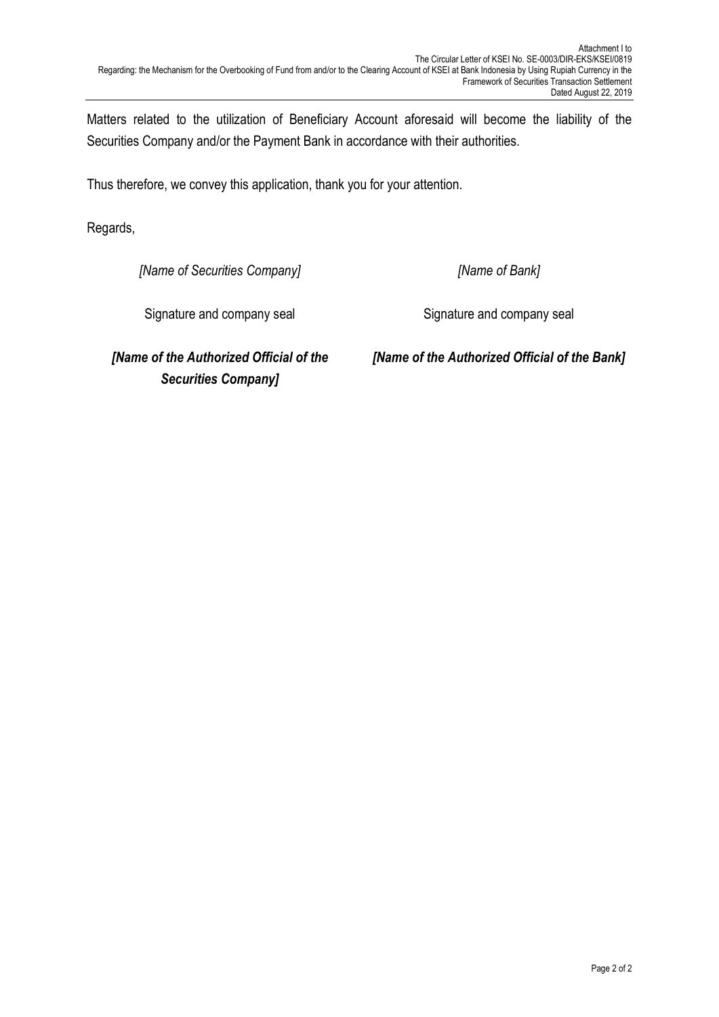Matters related to the utilization of Beneficiary Account aforesaid will become the liability of the Securities Company and/or the Payment Bank in accordance with their authorities.

Thus therefore, we convey this application, thank you for your attention.

Regards,

*[Name of Securities Company]*

*[Name of Bank]*

Signature and company seal

Signature and company seal

*[Name of the Authorized Official of the Securities Company]*

*[Name of the Authorized Official of the Bank]*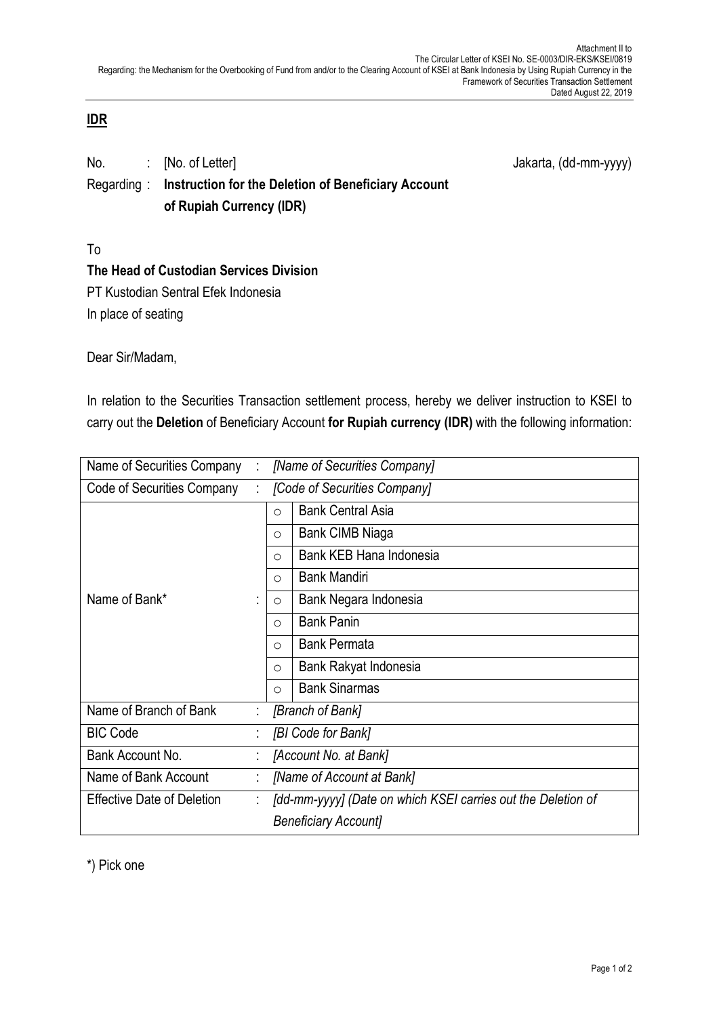## **IDR**

| No.        | <b>COLLEGE</b> | [No. of Letter]                                     | Jakarta, (dd-mm-yyyy) |
|------------|----------------|-----------------------------------------------------|-----------------------|
| Regarding: |                | Instruction for the Deletion of Beneficiary Account |                       |
|            |                | of Rupiah Currency (IDR)                            |                       |

To

# **The Head of Custodian Services Division**

PT Kustodian Sentral Efek Indonesia In place of seating

Dear Sir/Madam,

In relation to the Securities Transaction settlement process, hereby we deliver instruction to KSEI to carry out the **Deletion** of Beneficiary Account **for Rupiah currency (IDR)** with the following information:

| [Name of Securities Company]<br>Name of Securities Company |  |                                                              |  |  |
|------------------------------------------------------------|--|--------------------------------------------------------------|--|--|
| Code of Securities Company                                 |  | [Code of Securities Company]                                 |  |  |
|                                                            |  | <b>Bank Central Asia</b><br>$\circ$                          |  |  |
|                                                            |  | Bank CIMB Niaga<br>$\circ$                                   |  |  |
|                                                            |  | Bank KEB Hana Indonesia<br>$\circ$                           |  |  |
|                                                            |  | <b>Bank Mandiri</b><br>$\circ$                               |  |  |
| Name of Bank*                                              |  | Bank Negara Indonesia<br>$\circ$                             |  |  |
|                                                            |  | <b>Bank Panin</b><br>$\circ$                                 |  |  |
|                                                            |  | <b>Bank Permata</b><br>$\bigcirc$                            |  |  |
|                                                            |  | Bank Rakyat Indonesia<br>$\circ$                             |  |  |
|                                                            |  | <b>Bank Sinarmas</b><br>$\circ$                              |  |  |
| Name of Branch of Bank                                     |  | [Branch of Bank]                                             |  |  |
| <b>BIC Code</b>                                            |  | [BI Code for Bank]                                           |  |  |
| Bank Account No.                                           |  | [Account No. at Bank]                                        |  |  |
| Name of Bank Account                                       |  | [Name of Account at Bank]                                    |  |  |
| <b>Effective Date of Deletion</b>                          |  | [dd-mm-yyyy] (Date on which KSEI carries out the Deletion of |  |  |
|                                                            |  | <b>Beneficiary Accountl</b>                                  |  |  |

\*) Pick one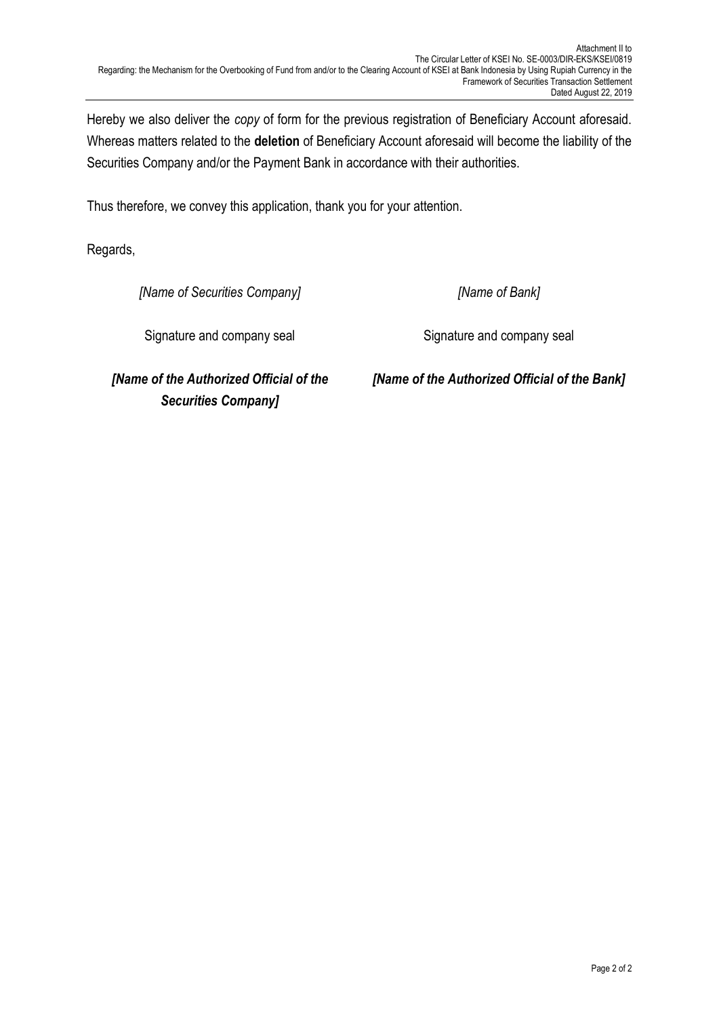Hereby we also deliver the *copy* of form for the previous registration of Beneficiary Account aforesaid. Whereas matters related to the **deletion** of Beneficiary Account aforesaid will become the liability of the Securities Company and/or the Payment Bank in accordance with their authorities.

Thus therefore, we convey this application, thank you for your attention.

Regards,

*[Name of Securities Company]*

*[Name of Bank]*

Signature and company seal

Signature and company seal

*[Name of the Authorized Official of the Securities Company]*

*[Name of the Authorized Official of the Bank]*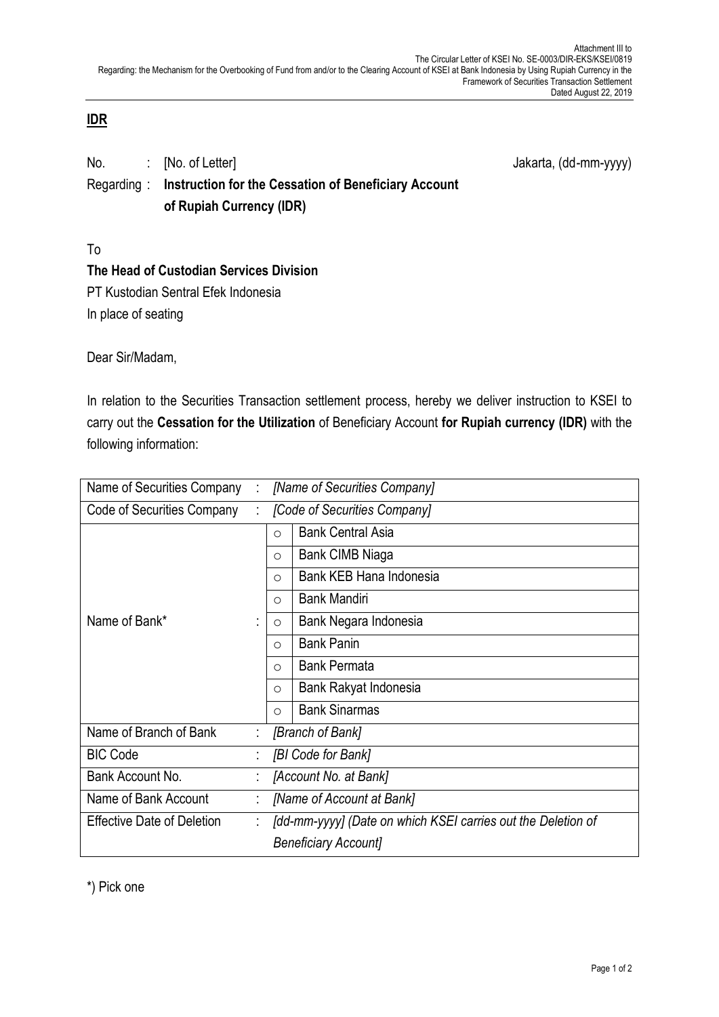## **IDR**

| No.        | $\therefore$ [No. of Letter]                         | Jakarta, (dd-mm-yyyy) |
|------------|------------------------------------------------------|-----------------------|
| Regarding: | Instruction for the Cessation of Beneficiary Account |                       |
|            | of Rupiah Currency (IDR)                             |                       |

To

# **The Head of Custodian Services Division**

PT Kustodian Sentral Efek Indonesia In place of seating

Dear Sir/Madam,

In relation to the Securities Transaction settlement process, hereby we deliver instruction to KSEI to carry out the **Cessation for the Utilization** of Beneficiary Account **for Rupiah currency (IDR)** with the following information:

| Name of Securities Company        |                                                              | [Name of Securities Company] |  |
|-----------------------------------|--------------------------------------------------------------|------------------------------|--|
| Code of Securities Company        |                                                              | [Code of Securities Company] |  |
|                                   | $\circ$                                                      | <b>Bank Central Asia</b>     |  |
|                                   | $\circ$                                                      | Bank CIMB Niaga              |  |
|                                   | $\circ$                                                      | Bank KEB Hana Indonesia      |  |
|                                   | $\circ$                                                      | <b>Bank Mandiri</b>          |  |
| Name of Bank*                     | $\circ$                                                      | Bank Negara Indonesia        |  |
|                                   | $\circ$                                                      | <b>Bank Panin</b>            |  |
|                                   | $\circ$                                                      | <b>Bank Permata</b>          |  |
|                                   | $\circ$                                                      | Bank Rakyat Indonesia        |  |
|                                   | $\circ$                                                      | <b>Bank Sinarmas</b>         |  |
| Name of Branch of Bank            |                                                              | [Branch of Bank]             |  |
| <b>BIC Code</b>                   |                                                              | [BI Code for Bank]           |  |
| Bank Account No.                  |                                                              | [Account No. at Bank]        |  |
| Name of Bank Account              | [Name of Account at Bank]                                    |                              |  |
| <b>Effective Date of Deletion</b> | [dd-mm-yyyy] (Date on which KSEI carries out the Deletion of |                              |  |
|                                   | <b>Beneficiary Account]</b>                                  |                              |  |

\*) Pick one